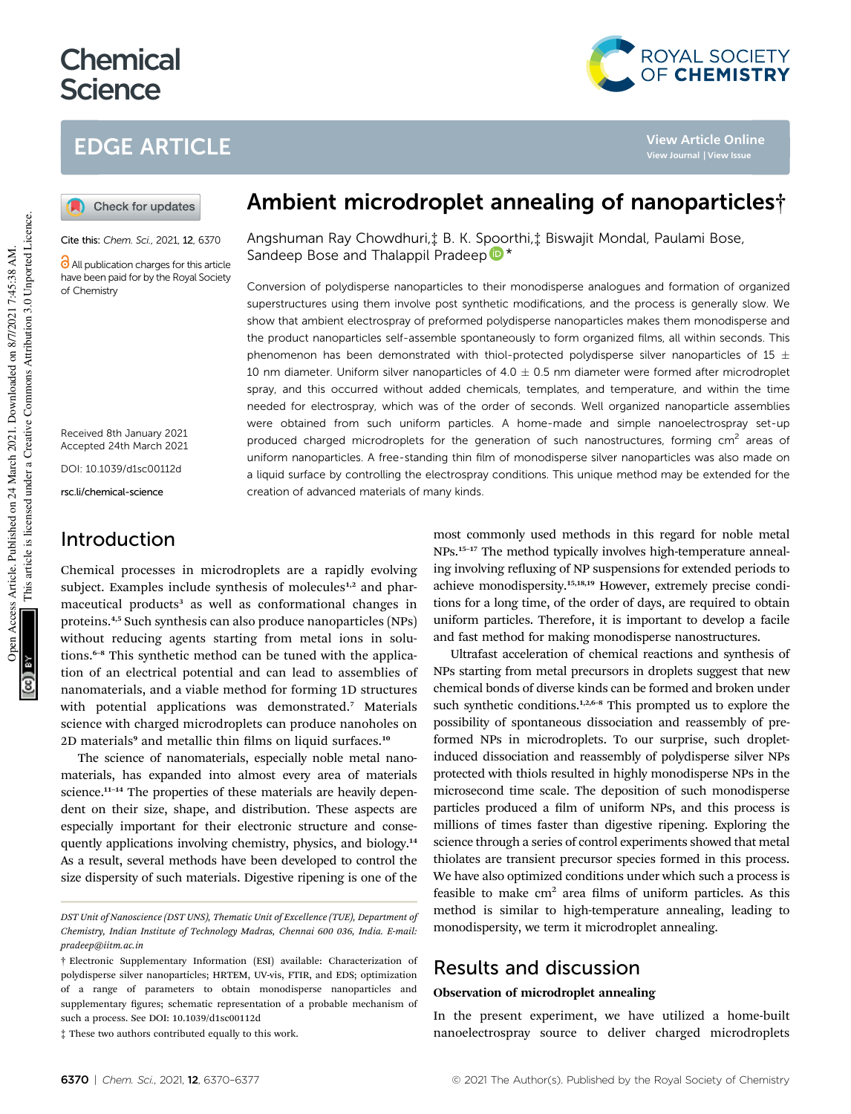# **Chemical Science**

# EDGE ARTICLE



**View Article Online**

Check for updates

Cite this: Chem. Sci., 2021, 12, 6370

**C** All publication charges for this article have been paid for by the Royal Society of Chemistry

Received 8th January 2021 Accepted 24th March 2021

DOI: 10.1039/d1sc00112d

rsc.li/chemical-science

### Introduction

Chemical processes in microdroplets are a rapidly evolving subject. Examples include synthesis of molecules<sup>1,2</sup> and pharmaceutical products<sup>3</sup> as well as conformational changes in proteins.4,5 Such synthesis can also produce nanoparticles (NPs) without reducing agents starting from metal ions in solutions.<sup>6–8</sup> This synthetic method can be tuned with the application of an electrical potential and can lead to assemblies of nanomaterials, and a viable method for forming 1D structures with potential applications was demonstrated.<sup>7</sup> Materials science with charged microdroplets can produce nanoholes on 2D materials<sup>9</sup> and metallic thin films on liquid surfaces.<sup>10</sup>

The science of nanomaterials, especially noble metal nanomaterials, has expanded into almost every area of materials science.<sup>11-14</sup> The properties of these materials are heavily dependent on their size, shape, and distribution. These aspects are especially important for their electronic structure and consequently applications involving chemistry, physics, and biology.<sup>14</sup> As a result, several methods have been developed to control the size dispersity of such materials. Digestive ripening is one of the

‡ These two authors contributed equally to this work.

# Ambient microdroplet annealing of nanoparticles†

Angshuman Ray Chowdhuri,‡ B. K. Spoorthi,‡ Biswajit Mondal, Paulami Bose, Sandeep Bose and Thalappil Pradeep  $\mathbb{D}^*$ 

Conversion of polydisperse nanoparticles to their monodisperse analogues and formation of organized superstructures using them involve post synthetic modifications, and the process is generally slow. We show that ambient electrospray of preformed polydisperse nanoparticles makes them monodisperse and the product nanoparticles self-assemble spontaneously to form organized films, all within seconds. This phenomenon has been demonstrated with thiol-protected polydisperse silver nanoparticles of 15  $\pm$ 10 nm diameter. Uniform silver nanoparticles of  $4.0 \pm 0.5$  nm diameter were formed after microdroplet spray, and this occurred without added chemicals, templates, and temperature, and within the time needed for electrospray, which was of the order of seconds. Well organized nanoparticle assemblies were obtained from such uniform particles. A home-made and simple nanoelectrospray set-up produced charged microdroplets for the generation of such nanostructures, forming cm<sup>2</sup> areas of uniform nanoparticles. A free-standing thin film of monodisperse silver nanoparticles was also made on a liquid surface by controlling the electrospray conditions. This unique method may be extended for the creation of advanced materials of many kinds.

> most commonly used methods in this regard for noble metal NPs.<sup>15</sup>–<sup>17</sup> The method typically involves high-temperature annealing involving refluxing of NP suspensions for extended periods to achieve monodispersity.15,18,19 However, extremely precise conditions for a long time, of the order of days, are required to obtain uniform particles. Therefore, it is important to develop a facile and fast method for making monodisperse nanostructures.

> Ultrafast acceleration of chemical reactions and synthesis of NPs starting from metal precursors in droplets suggest that new chemical bonds of diverse kinds can be formed and broken under such synthetic conditions.<sup>1,2,6–8</sup> This prompted us to explore the possibility of spontaneous dissociation and reassembly of preformed NPs in microdroplets. To our surprise, such dropletinduced dissociation and reassembly of polydisperse silver NPs protected with thiols resulted in highly monodisperse NPs in the microsecond time scale. The deposition of such monodisperse particles produced a film of uniform NPs, and this process is millions of times faster than digestive ripening. Exploring the science through a series of control experiments showed that metal thiolates are transient precursor species formed in this process. We have also optimized conditions under which such a process is feasible to make  $cm<sup>2</sup>$  area films of uniform particles. As this method is similar to high-temperature annealing, leading to monodispersity, we term it microdroplet annealing.

### Results and discussion

### Observation of microdroplet annealing

In the present experiment, we have utilized a home-built nanoelectrospray source to deliver charged microdroplets

*DST Unit of Nanoscience (DST UNS), Thematic Unit of Excellence (TUE), Department of Chemistry, Indian Institute of Technology Madras, Chennai 600 036, India. E-mail: pradeep@iitm.ac.in*

<sup>†</sup> Electronic Supplementary Information (ESI) available: Characterization of polydisperse silver nanoparticles; HRTEM, UV-vis, FTIR, and EDS; optimization of a range of parameters to obtain monodisperse nanoparticles and supplementary figures; schematic representation of a probable mechanism of such a process. See DOI: 10.1039/d1sc00112d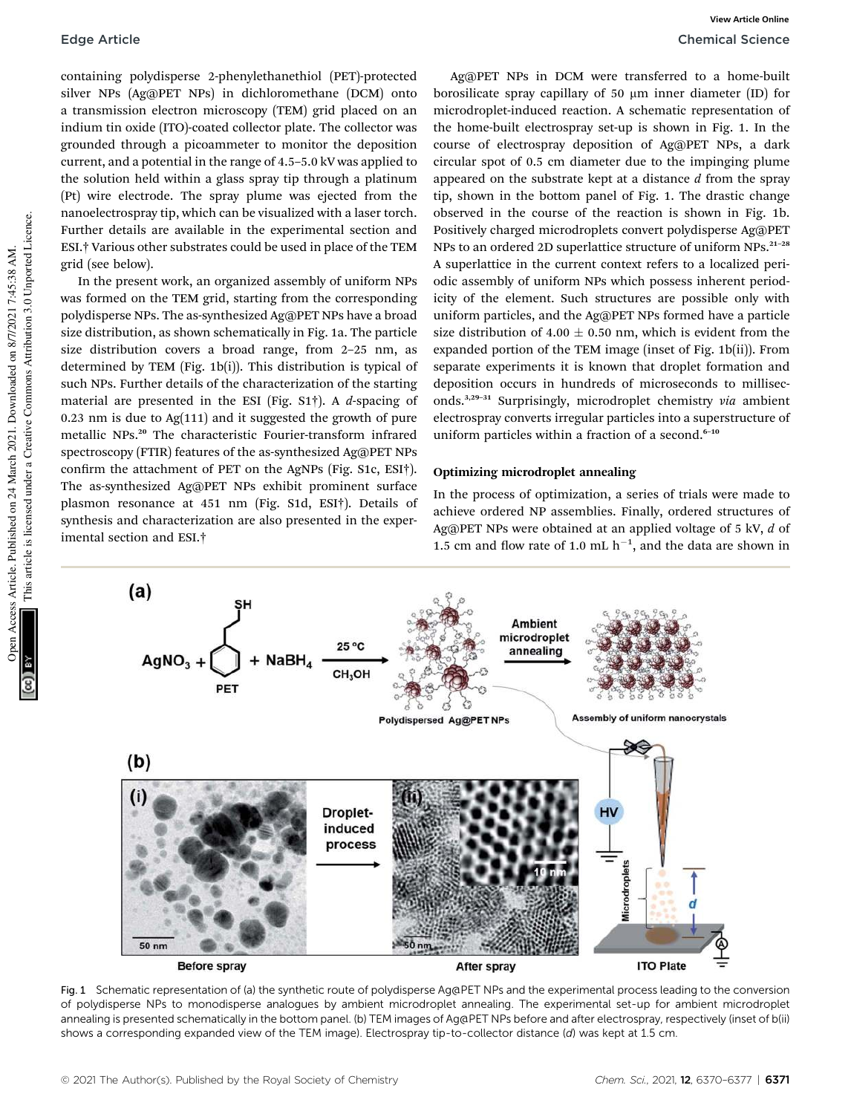containing polydisperse 2-phenylethanethiol (PET)-protected silver NPs (Ag@PET NPs) in dichloromethane (DCM) onto a transmission electron microscopy (TEM) grid placed on an indium tin oxide (ITO)-coated collector plate. The collector was grounded through a picoammeter to monitor the deposition current, and a potential in the range of 4.5–5.0 kV was applied to the solution held within a glass spray tip through a platinum (Pt) wire electrode. The spray plume was ejected from the nanoelectrospray tip, which can be visualized with a laser torch. Further details are available in the experimental section and ESI.† Various other substrates could be used in place of the TEM grid (see below).

In the present work, an organized assembly of uniform NPs was formed on the TEM grid, starting from the corresponding polydisperse NPs. The as-synthesized Ag@PET NPs have a broad size distribution, as shown schematically in Fig. 1a. The particle size distribution covers a broad range, from 2–25 nm, as determined by TEM (Fig. 1b(i)). This distribution is typical of such NPs. Further details of the characterization of the starting material are presented in the ESI (Fig. S1†). A *d*-spacing of 0.23 nm is due to Ag(111) and it suggested the growth of pure metallic NPs.<sup>20</sup> The characteristic Fourier-transform infrared spectroscopy (FTIR) features of the as-synthesized Ag@PET NPs confirm the attachment of PET on the AgNPs (Fig. S1c, ESI†). The as-synthesized Ag@PET NPs exhibit prominent surface plasmon resonance at 451 nm (Fig. S1d, ESI†). Details of synthesis and characterization are also presented in the experimental section and ESI.†

Ag@PET NPs in DCM were transferred to a home-built borosilicate spray capillary of 50  $\mu$ m inner diameter (ID) for microdroplet-induced reaction. A schematic representation of the home-built electrospray set-up is shown in Fig. 1. In the course of electrospray deposition of Ag@PET NPs, a dark circular spot of 0.5 cm diameter due to the impinging plume appeared on the substrate kept at a distance *d* from the spray tip, shown in the bottom panel of Fig. 1. The drastic change observed in the course of the reaction is shown in Fig. 1b. Positively charged microdroplets convert polydisperse Ag@PET NPs to an ordered 2D superlattice structure of uniform NPs.<sup>21-28</sup> A superlattice in the current context refers to a localized periodic assembly of uniform NPs which possess inherent periodicity of the element. Such structures are possible only with uniform particles, and the Ag@PET NPs formed have a particle size distribution of 4.00  $\pm$  0.50 nm, which is evident from the expanded portion of the TEM image (inset of Fig. 1b(ii)). From separate experiments it is known that droplet formation and deposition occurs in hundreds of microseconds to milliseconds.3,29–<sup>31</sup> Surprisingly, microdroplet chemistry *via* ambient electrospray converts irregular particles into a superstructure of uniform particles within a fraction of a second. $6-10$ 

### Optimizing microdroplet annealing

In the process of optimization, a series of trials were made to achieve ordered NP assemblies. Finally, ordered structures of Ag@PET NPs were obtained at an applied voltage of 5 kV, *d* of 1.5 cm and flow rate of 1.0 mL  $h^{-1}$ , and the data are shown in



Fig. 1 Schematic representation of (a) the synthetic route of polydisperse Ag@PET NPs and the experimental process leading to the conversion of polydisperse NPs to monodisperse analogues by ambient microdroplet annealing. The experimental set-up for ambient microdroplet annealing is presented schematically in the bottom panel. (b) TEM images of Ag@PET NPs before and after electrospray, respectively (inset of b(ii) shows a corresponding expanded view of the TEM image). Electrospray tip-to-collector distance (d) was kept at 1.5 cm.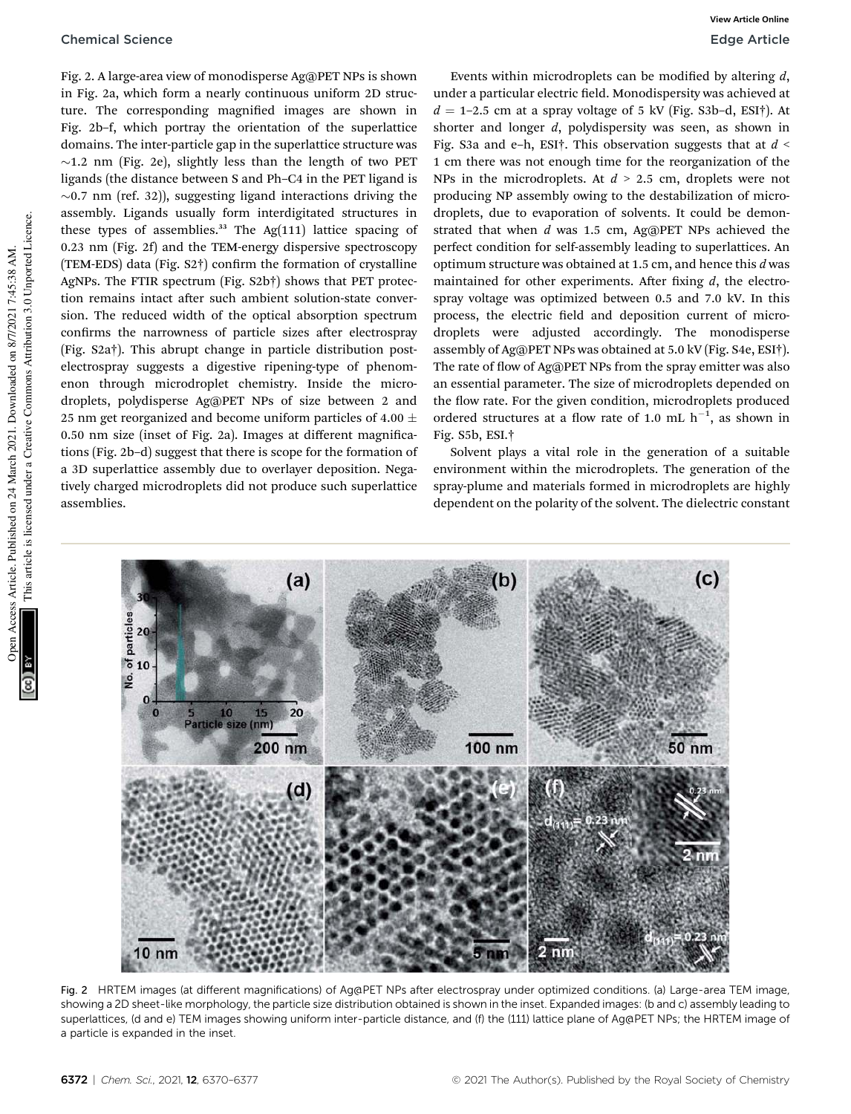Fig. 2. A large-area view of monodisperse Ag@PET NPs is shown in Fig. 2a, which form a nearly continuous uniform 2D structure. The corresponding magnified images are shown in Fig. 2b–f, which portray the orientation of the superlattice domains. The inter-particle gap in the superlattice structure was  $\sim$ 1.2 nm (Fig. 2e), slightly less than the length of two PET ligands (the distance between S and Ph–C4 in the PET ligand is  $\sim$ 0.7 nm (ref. 32)), suggesting ligand interactions driving the assembly. Ligands usually form interdigitated structures in these types of assemblies. $33$  The Ag(111) lattice spacing of 0.23 nm (Fig. 2f) and the TEM-energy dispersive spectroscopy (TEM-EDS) data (Fig.  $S2\dagger$ ) confirm the formation of crystalline AgNPs. The FTIR spectrum (Fig. S2b†) shows that PET protection remains intact after such ambient solution-state conversion. The reduced width of the optical absorption spectrum confirms the narrowness of particle sizes after electrospray (Fig. S2a†). This abrupt change in particle distribution postelectrospray suggests a digestive ripening-type of phenomenon through microdroplet chemistry. Inside the microdroplets, polydisperse Ag@PET NPs of size between 2 and 25 nm get reorganized and become uniform particles of 4.00  $\pm$ 0.50 nm size (inset of Fig. 2a). Images at different magnications (Fig. 2b–d) suggest that there is scope for the formation of a 3D superlattice assembly due to overlayer deposition. Negatively charged microdroplets did not produce such superlattice assemblies.

Events within microdroplets can be modified by altering *d*, under a particular electric field. Monodispersity was achieved at  $d = 1-2.5$  cm at a spray voltage of 5 kV (Fig. S3b-d, ESI†). At shorter and longer *d*, polydispersity was seen, as shown in Fig. S3a and e–h, ESI†. This observation suggests that at *d* < 1 cm there was not enough time for the reorganization of the NPs in the microdroplets. At *d* > 2.5 cm, droplets were not producing NP assembly owing to the destabilization of microdroplets, due to evaporation of solvents. It could be demonstrated that when *d* was 1.5 cm, Ag@PET NPs achieved the perfect condition for self-assembly leading to superlattices. An optimum structure was obtained at 1.5 cm, and hence this *d* was maintained for other experiments. After fixing  $d$ , the electrospray voltage was optimized between 0.5 and 7.0 kV. In this process, the electric field and deposition current of microdroplets were adjusted accordingly. The monodisperse assembly of Ag@PET NPs was obtained at 5.0 kV (Fig. S4e, ESI†). The rate of flow of Ag@PET NPs from the spray emitter was also an essential parameter. The size of microdroplets depended on the flow rate. For the given condition, microdroplets produced ordered structures at a flow rate of 1.0 mL  $h^{-1}$ , as shown in Fig. S5b, ESI.†

Solvent plays a vital role in the generation of a suitable environment within the microdroplets. The generation of the spray-plume and materials formed in microdroplets are highly dependent on the polarity of the solvent. The dielectric constant



Fig. 2 HRTEM images (at different magnifications) of Ag@PET NPs after electrospray under optimized conditions. (a) Large-area TEM image, showing a 2D sheet-like morphology, the particle size distribution obtained is shown in the inset. Expanded images: (b and c) assembly leading to superlattices, (d and e) TEM images showing uniform inter-particle distance, and (f) the (111) lattice plane of Ag@PET NPs; the HRTEM image of a particle is expanded in the inset.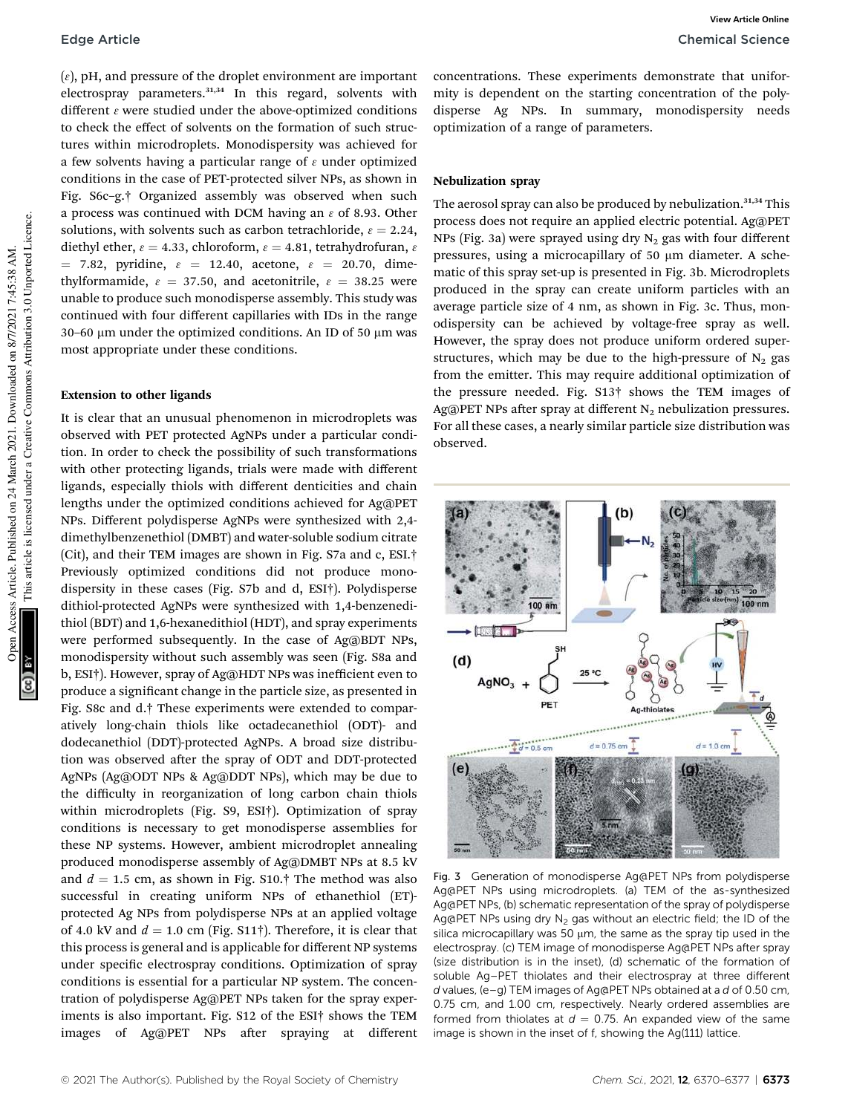$(\varepsilon)$ , pH, and pressure of the droplet environment are important electrospray parameters.<sup>31,34</sup> In this regard, solvents with different  $\varepsilon$  were studied under the above-optimized conditions to check the effect of solvents on the formation of such structures within microdroplets. Monodispersity was achieved for a few solvents having a particular range of  $\varepsilon$  under optimized conditions in the case of PET-protected silver NPs, as shown in Fig. S6c–g.† Organized assembly was observed when such a process was continued with DCM having an  $\varepsilon$  of 8.93. Other solutions, with solvents such as carbon tetrachloride,  $\varepsilon = 2.24$ , diethyl ether,  $\varepsilon = 4.33$ , chloroform,  $\varepsilon = 4.81$ , tetrahydrofuran,  $\varepsilon$  $= 7.82$ , pyridine,  $\varepsilon = 12.40$ , acetone,  $\varepsilon = 20.70$ , dimethylformamide,  $\varepsilon = 37.50$ , and acetonitrile,  $\varepsilon = 38.25$  were unable to produce such monodisperse assembly. This study was continued with four different capillaries with IDs in the range 30–60  $\mu$ m under the optimized conditions. An ID of 50  $\mu$ m was most appropriate under these conditions.

#### Extension to other ligands

It is clear that an unusual phenomenon in microdroplets was observed with PET protected AgNPs under a particular condition. In order to check the possibility of such transformations with other protecting ligands, trials were made with different ligands, especially thiols with different denticities and chain lengths under the optimized conditions achieved for Ag@PET NPs. Different polydisperse AgNPs were synthesized with 2,4 dimethylbenzenethiol (DMBT) and water-soluble sodium citrate (Cit), and their TEM images are shown in Fig. S7a and c, ESI.† Previously optimized conditions did not produce monodispersity in these cases (Fig. S7b and d, ESI†). Polydisperse dithiol-protected AgNPs were synthesized with 1,4-benzenedithiol (BDT) and 1,6-hexanedithiol (HDT), and spray experiments were performed subsequently. In the case of Ag@BDT NPs, monodispersity without such assembly was seen (Fig. S8a and b, ESI†). However, spray of Ag@HDT NPs was inefficient even to produce a significant change in the particle size, as presented in Fig. S8c and d.† These experiments were extended to comparatively long-chain thiols like octadecanethiol (ODT)- and dodecanethiol (DDT)-protected AgNPs. A broad size distribution was observed after the spray of ODT and DDT-protected AgNPs (Ag@ODT NPs & Ag@DDT NPs), which may be due to the difficulty in reorganization of long carbon chain thiols within microdroplets (Fig. S9, ESI†). Optimization of spray conditions is necessary to get monodisperse assemblies for these NP systems. However, ambient microdroplet annealing produced monodisperse assembly of Ag@DMBT NPs at 8.5 kV and  $d = 1.5$  cm, as shown in Fig. S10.† The method was also successful in creating uniform NPs of ethanethiol (ET) protected Ag NPs from polydisperse NPs at an applied voltage of 4.0 kV and  $d = 1.0$  cm (Fig. S11†). Therefore, it is clear that this process is general and is applicable for different NP systems under specific electrospray conditions. Optimization of spray conditions is essential for a particular NP system. The concentration of polydisperse Ag@PET NPs taken for the spray experiments is also important. Fig. S12 of the ESI† shows the TEM images of Ag@PET NPs after spraying at different concentrations. These experiments demonstrate that uniformity is dependent on the starting concentration of the polydisperse Ag NPs. In summary, monodispersity needs optimization of a range of parameters.

#### Nebulization spray

The aerosol spray can also be produced by nebulization.<sup>31,34</sup> This process does not require an applied electric potential. Ag@PET NPs (Fig. 3a) were sprayed using dry  $N_2$  gas with four different pressures, using a microcapillary of  $50 \mu m$  diameter. A schematic of this spray set-up is presented in Fig. 3b. Microdroplets produced in the spray can create uniform particles with an average particle size of 4 nm, as shown in Fig. 3c. Thus, monodispersity can be achieved by voltage-free spray as well. However, the spray does not produce uniform ordered superstructures, which may be due to the high-pressure of  $N_2$  gas from the emitter. This may require additional optimization of the pressure needed. Fig. S13† shows the TEM images of Ag@PET NPs after spray at different  $N_2$  nebulization pressures. For all these cases, a nearly similar particle size distribution was observed.



Fig. 3 Generation of monodisperse Ag@PET NPs from polydisperse Ag@PET NPs using microdroplets. (a) TEM of the as-synthesized Ag@PET NPs, (b) schematic representation of the spray of polydisperse Ag $@$ PET NPs using dry  $N_2$  gas without an electric field; the ID of the silica microcapillary was 50  $\mu$ m, the same as the spray tip used in the electrospray. (c) TEM image of monodisperse Ag@PET NPs after spray (size distribution is in the inset), (d) schematic of the formation of soluble Ag–PET thiolates and their electrospray at three different d values, (e–g) TEM images of Ag@PET NPs obtained at a d of 0.50 cm, 0.75 cm, and 1.00 cm, respectively. Nearly ordered assemblies are formed from thiolates at  $d = 0.75$ . An expanded view of the same image is shown in the inset of f, showing the Ag(111) lattice.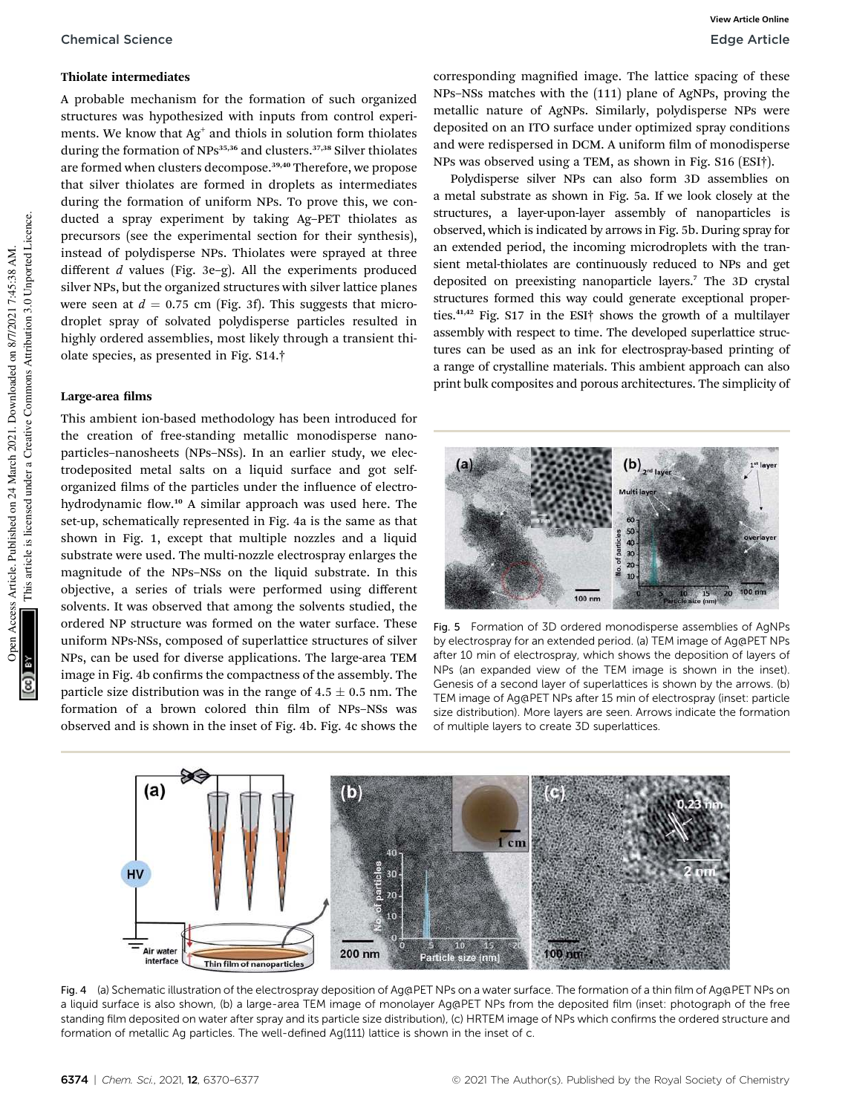#### Thiolate intermediates

A probable mechanism for the formation of such organized structures was hypothesized with inputs from control experiments. We know that  $Ag^+$  and thiols in solution form thiolates during the formation of NPs<sup>35,36</sup> and clusters.<sup>37,38</sup> Silver thiolates are formed when clusters decompose.<sup>39,40</sup> Therefore, we propose that silver thiolates are formed in droplets as intermediates during the formation of uniform NPs. To prove this, we conducted a spray experiment by taking Ag–PET thiolates as precursors (see the experimental section for their synthesis), instead of polydisperse NPs. Thiolates were sprayed at three different *d* values (Fig. 3e–g). All the experiments produced silver NPs, but the organized structures with silver lattice planes were seen at  $d = 0.75$  cm (Fig. 3f). This suggests that microdroplet spray of solvated polydisperse particles resulted in highly ordered assemblies, most likely through a transient thiolate species, as presented in Fig. S14.†

#### Large-area films

This ambient ion-based methodology has been introduced for the creation of free-standing metallic monodisperse nanoparticles–nanosheets (NPs–NSs). In an earlier study, we electrodeposited metal salts on a liquid surface and got selforganized films of the particles under the influence of electrohydrodynamic flow.<sup>10</sup> A similar approach was used here. The set-up, schematically represented in Fig. 4a is the same as that shown in Fig. 1, except that multiple nozzles and a liquid substrate were used. The multi-nozzle electrospray enlarges the magnitude of the NPs–NSs on the liquid substrate. In this objective, a series of trials were performed using different solvents. It was observed that among the solvents studied, the ordered NP structure was formed on the water surface. These uniform NPs-NSs, composed of superlattice structures of silver NPs, can be used for diverse applications. The large-area TEM image in Fig. 4b confirms the compactness of the assembly. The particle size distribution was in the range of  $4.5 \pm 0.5$  nm. The formation of a brown colored thin film of NPs-NSs was observed and is shown in the inset of Fig. 4b. Fig. 4c shows the

corresponding magnified image. The lattice spacing of these NPs–NSs matches with the (111) plane of AgNPs, proving the metallic nature of AgNPs. Similarly, polydisperse NPs were deposited on an ITO surface under optimized spray conditions and were redispersed in DCM. A uniform film of monodisperse NPs was observed using a TEM, as shown in Fig. S16 (ESI†).

Polydisperse silver NPs can also form 3D assemblies on a metal substrate as shown in Fig. 5a. If we look closely at the structures, a layer-upon-layer assembly of nanoparticles is observed, which is indicated by arrows in Fig. 5b. During spray for an extended period, the incoming microdroplets with the transient metal-thiolates are continuously reduced to NPs and get deposited on preexisting nanoparticle layers.<sup>7</sup> The 3D crystal structures formed this way could generate exceptional properties.41,42 Fig. S17 in the ESI† shows the growth of a multilayer assembly with respect to time. The developed superlattice structures can be used as an ink for electrospray-based printing of a range of crystalline materials. This ambient approach can also print bulk composites and porous architectures. The simplicity of



Fig. 5 Formation of 3D ordered monodisperse assemblies of AgNPs by electrospray for an extended period. (a) TEM image of Ag@PET NPs after 10 min of electrospray, which shows the deposition of layers of NPs (an expanded view of the TEM image is shown in the inset). Genesis of a second layer of superlattices is shown by the arrows. (b) TEM image of Ag@PET NPs after 15 min of electrospray (inset: particle size distribution). More layers are seen. Arrows indicate the formation of multiple layers to create 3D superlattices.



Fig. 4 (a) Schematic illustration of the electrospray deposition of Ag@PET NPs on a water surface. The formation of a thin film of Ag@PET NPs on a liquid surface is also shown, (b) a large-area TEM image of monolayer Ag@PET NPs from the deposited film (inset: photograph of the free standing film deposited on water after spray and its particle size distribution), (c) HRTEM image of NPs which confirms the ordered structure and formation of metallic Ag particles. The well-defined Ag(111) lattice is shown in the inset of c.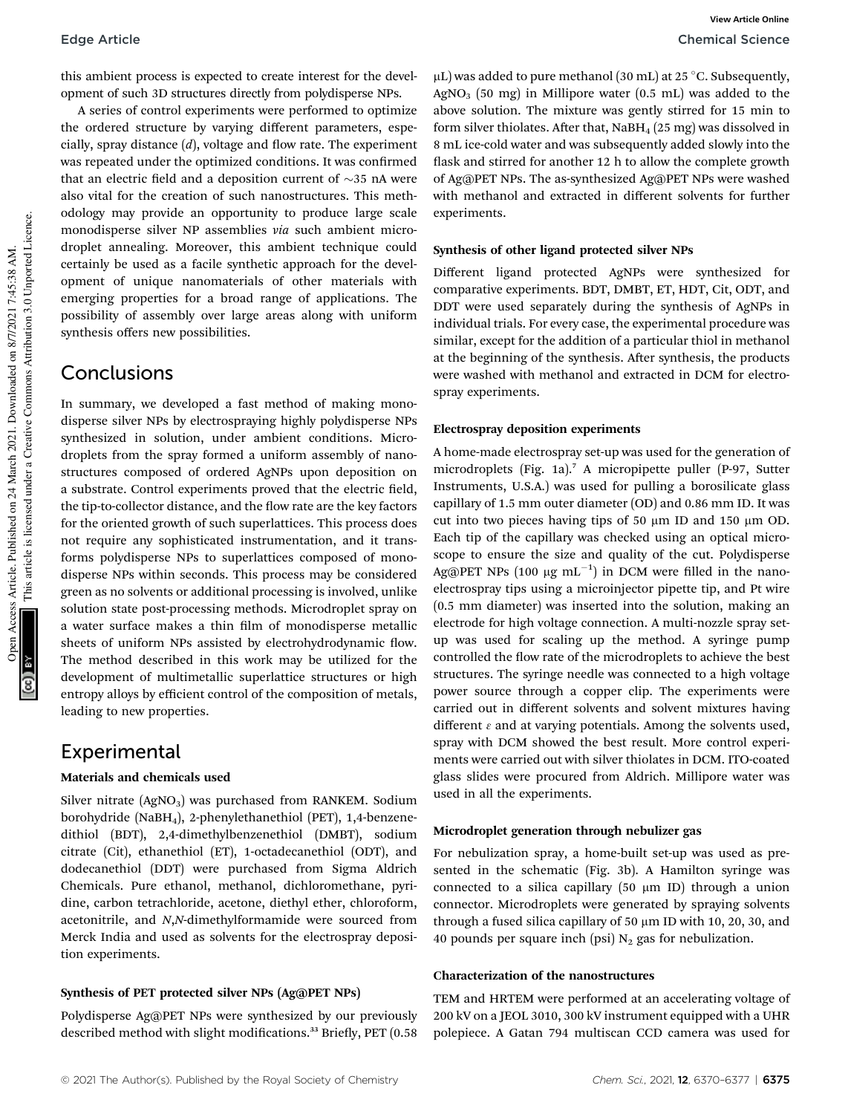this ambient process is expected to create interest for the development of such 3D structures directly from polydisperse NPs.

A series of control experiments were performed to optimize the ordered structure by varying different parameters, especially, spray distance  $(d)$ , voltage and flow rate. The experiment was repeated under the optimized conditions. It was confirmed that an electric field and a deposition current of  $\sim$ 35 nA were also vital for the creation of such nanostructures. This methodology may provide an opportunity to produce large scale monodisperse silver NP assemblies *via* such ambient microdroplet annealing. Moreover, this ambient technique could certainly be used as a facile synthetic approach for the development of unique nanomaterials of other materials with emerging properties for a broad range of applications. The possibility of assembly over large areas along with uniform synthesis offers new possibilities.

### Conclusions

In summary, we developed a fast method of making monodisperse silver NPs by electrospraying highly polydisperse NPs synthesized in solution, under ambient conditions. Microdroplets from the spray formed a uniform assembly of nanostructures composed of ordered AgNPs upon deposition on a substrate. Control experiments proved that the electric field, the tip-to-collector distance, and the flow rate are the key factors for the oriented growth of such superlattices. This process does not require any sophisticated instrumentation, and it transforms polydisperse NPs to superlattices composed of monodisperse NPs within seconds. This process may be considered green as no solvents or additional processing is involved, unlike solution state post-processing methods. Microdroplet spray on a water surface makes a thin film of monodisperse metallic sheets of uniform NPs assisted by electrohydrodynamic flow. The method described in this work may be utilized for the development of multimetallic superlattice structures or high entropy alloys by efficient control of the composition of metals, leading to new properties.

### Experimental

### Materials and chemicals used

Silver nitrate (AgNO<sub>3</sub>) was purchased from RANKEM. Sodium borohydride (NaBH4), 2-phenylethanethiol (PET), 1,4-benzenedithiol (BDT), 2,4-dimethylbenzenethiol (DMBT), sodium citrate (Cit), ethanethiol (ET), 1-octadecanethiol (ODT), and dodecanethiol (DDT) were purchased from Sigma Aldrich Chemicals. Pure ethanol, methanol, dichloromethane, pyridine, carbon tetrachloride, acetone, diethyl ether, chloroform, acetonitrile, and *N*,*N*-dimethylformamide were sourced from Merck India and used as solvents for the electrospray deposition experiments.

### Synthesis of PET protected silver NPs (Ag@PET NPs)

Polydisperse Ag@PET NPs were synthesized by our previously described method with slight modifications.<sup>33</sup> Briefly, PET (0.58)

 $\mu$ L) was added to pure methanol (30 mL) at 25 °C. Subsequently, AgNO<sub>3</sub> (50 mg) in Millipore water  $(0.5 \text{ mL})$  was added to the above solution. The mixture was gently stirred for 15 min to form silver thiolates. After that,  $N$ aBH<sub>4</sub> (25 mg) was dissolved in 8 mL ice-cold water and was subsequently added slowly into the flask and stirred for another 12 h to allow the complete growth of Ag@PET NPs. The as-synthesized Ag@PET NPs were washed with methanol and extracted in different solvents for further experiments.

### Synthesis of other ligand protected silver NPs

Different ligand protected AgNPs were synthesized for comparative experiments. BDT, DMBT, ET, HDT, Cit, ODT, and DDT were used separately during the synthesis of AgNPs in individual trials. For every case, the experimental procedure was similar, except for the addition of a particular thiol in methanol at the beginning of the synthesis. After synthesis, the products were washed with methanol and extracted in DCM for electrospray experiments.

### Electrospray deposition experiments

A home-made electrospray set-up was used for the generation of microdroplets (Fig. 1a).<sup>7</sup> A micropipette puller (P-97, Sutter Instruments, U.S.A.) was used for pulling a borosilicate glass capillary of 1.5 mm outer diameter (OD) and 0.86 mm ID. It was cut into two pieces having tips of 50  $\mu$ m ID and 150  $\mu$ m OD. Each tip of the capillary was checked using an optical microscope to ensure the size and quality of the cut. Polydisperse Ag@PET NPs  $(100 \mu g \text{ mL}^{-1})$  in DCM were filled in the nanoelectrospray tips using a microinjector pipette tip, and Pt wire (0.5 mm diameter) was inserted into the solution, making an electrode for high voltage connection. A multi-nozzle spray setup was used for scaling up the method. A syringe pump controlled the flow rate of the microdroplets to achieve the best structures. The syringe needle was connected to a high voltage power source through a copper clip. The experiments were carried out in different solvents and solvent mixtures having different  $\varepsilon$  and at varying potentials. Among the solvents used, spray with DCM showed the best result. More control experiments were carried out with silver thiolates in DCM. ITO-coated glass slides were procured from Aldrich. Millipore water was used in all the experiments.

### Microdroplet generation through nebulizer gas

For nebulization spray, a home-built set-up was used as presented in the schematic (Fig. 3b). A Hamilton syringe was connected to a silica capillary  $(50 \mu m \text{ ID})$  through a union connector. Microdroplets were generated by spraying solvents through a fused silica capillary of 50  $\mu$ m ID with 10, 20, 30, and 40 pounds per square inch (psi)  $N_2$  gas for nebulization.

### Characterization of the nanostructures

TEM and HRTEM were performed at an accelerating voltage of 200 kV on a JEOL 3010, 300 kV instrument equipped with a UHR polepiece. A Gatan 794 multiscan CCD camera was used for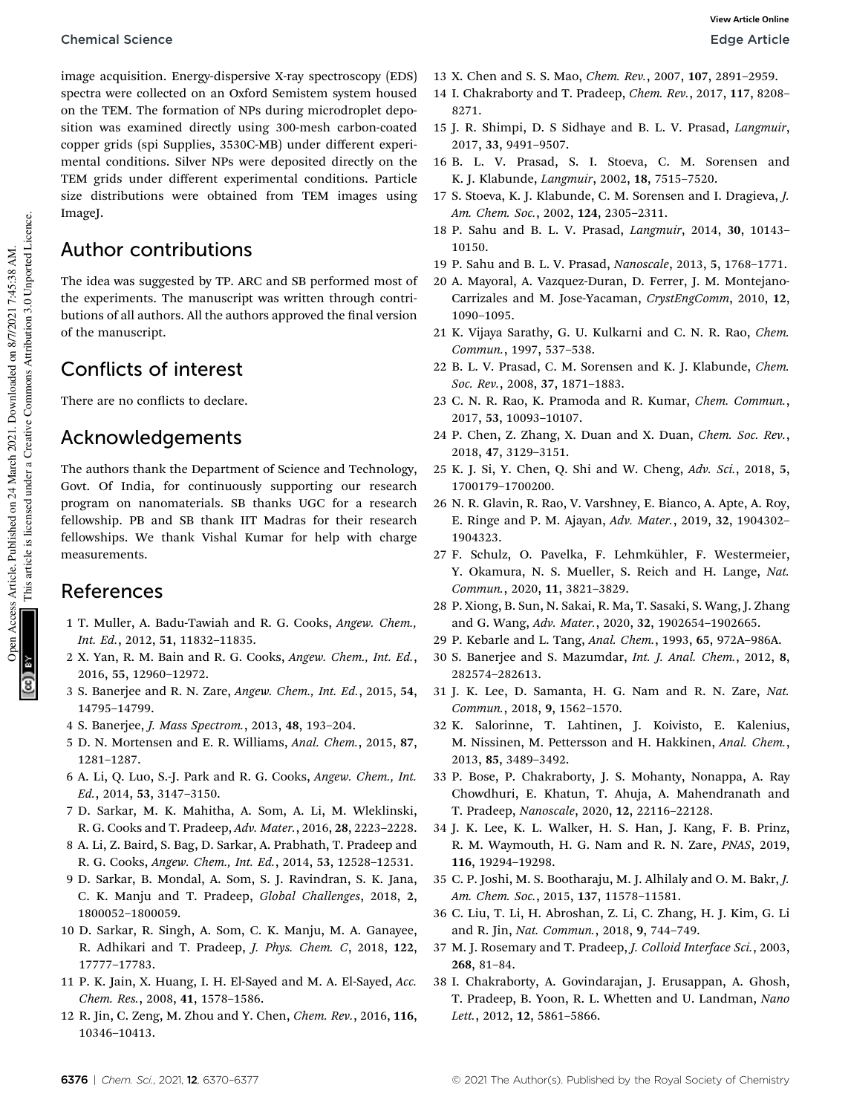### Chemical Science **Edge Article**

image acquisition. Energy-dispersive X-ray spectroscopy (EDS) spectra were collected on an Oxford Semistem system housed on the TEM. The formation of NPs during microdroplet deposition was examined directly using 300-mesh carbon-coated copper grids (spi Supplies, 3530C-MB) under different experimental conditions. Silver NPs were deposited directly on the TEM grids under different experimental conditions. Particle size distributions were obtained from TEM images using ImageJ.

### Author contributions

The idea was suggested by TP. ARC and SB performed most of the experiments. The manuscript was written through contributions of all authors. All the authors approved the final version of the manuscript.

## Conflicts of interest

There are no conflicts to declare.

### Acknowledgements

The authors thank the Department of Science and Technology, Govt. Of India, for continuously supporting our research program on nanomaterials. SB thanks UGC for a research fellowship. PB and SB thank IIT Madras for their research fellowships. We thank Vishal Kumar for help with charge measurements.

### References

- 1 T. Muller, A. Badu-Tawiah and R. G. Cooks, *Angew. Chem., Int. Ed.*, 2012, 51, 11832–11835.
- 2 X. Yan, R. M. Bain and R. G. Cooks, *Angew. Chem., Int. Ed.*, 2016, 55, 12960–12972.
- 3 S. Banerjee and R. N. Zare, *Angew. Chem., Int. Ed.*, 2015, 54, 14795–14799.
- 4 S. Banerjee, *J. Mass Spectrom.*, 2013, 48, 193–204.
- 5 D. N. Mortensen and E. R. Williams, *Anal. Chem.*, 2015, 87, 1281–1287.
- 6 A. Li, Q. Luo, S.-J. Park and R. G. Cooks, *Angew. Chem., Int. Ed.*, 2014, 53, 3147–3150.
- 7 D. Sarkar, M. K. Mahitha, A. Som, A. Li, M. Wleklinski, R. G. Cooks and T. Pradeep, *Adv. Mater.*, 2016, 28, 2223–2228.
- 8 A. Li, Z. Baird, S. Bag, D. Sarkar, A. Prabhath, T. Pradeep and R. G. Cooks, *Angew. Chem., Int. Ed.*, 2014, 53, 12528–12531.
- 9 D. Sarkar, B. Mondal, A. Som, S. J. Ravindran, S. K. Jana, C. K. Manju and T. Pradeep, *Global Challenges*, 2018, 2, 1800052–1800059.
- 10 D. Sarkar, R. Singh, A. Som, C. K. Manju, M. A. Ganayee, R. Adhikari and T. Pradeep, *J. Phys. Chem. C*, 2018, 122, 17777–17783.
- 11 P. K. Jain, X. Huang, I. H. El-Sayed and M. A. El-Sayed, *Acc. Chem. Res.*, 2008, 41, 1578–1586.
- 12 R. Jin, C. Zeng, M. Zhou and Y. Chen, *Chem. Rev.*, 2016, 116, 10346–10413.
- 13 X. Chen and S. S. Mao, *Chem. Rev.*, 2007, 107, 2891–2959.
- 14 I. Chakraborty and T. Pradeep, *Chem. Rev.*, 2017, 117, 8208– 8271.
- 15 J. R. Shimpi, D. S Sidhaye and B. L. V. Prasad, *Langmuir*, 2017, 33, 9491–9507.
- 16 B. L. V. Prasad, S. I. Stoeva, C. M. Sorensen and K. J. Klabunde, *Langmuir*, 2002, 18, 7515–7520.
- 17 S. Stoeva, K. J. Klabunde, C. M. Sorensen and I. Dragieva, *J. Am. Chem. Soc.*, 2002, 124, 2305–2311.
- 18 P. Sahu and B. L. V. Prasad, *Langmuir*, 2014, 30, 10143– 10150.
- 19 P. Sahu and B. L. V. Prasad, *Nanoscale*, 2013, 5, 1768–1771.
- 20 A. Mayoral, A. Vazquez-Duran, D. Ferrer, J. M. Montejano-Carrizales and M. Jose-Yacaman, *CrystEngComm*, 2010, 12, 1090–1095.
- 21 K. Vijaya Sarathy, G. U. Kulkarni and C. N. R. Rao, *Chem. Commun.*, 1997, 537–538.
- 22 B. L. V. Prasad, C. M. Sorensen and K. J. Klabunde, *Chem. Soc. Rev.*, 2008, 37, 1871–1883.
- 23 C. N. R. Rao, K. Pramoda and R. Kumar, *Chem. Commun.*, 2017, 53, 10093–10107.
- 24 P. Chen, Z. Zhang, X. Duan and X. Duan, *Chem. Soc. Rev.*, 2018, 47, 3129–3151.
- 25 K. J. Si, Y. Chen, Q. Shi and W. Cheng, *Adv. Sci.*, 2018, 5, 1700179–1700200.
- 26 N. R. Glavin, R. Rao, V. Varshney, E. Bianco, A. Apte, A. Roy, E. Ringe and P. M. Ajayan, *Adv. Mater.*, 2019, 32, 1904302– 1904323.
- 27 F. Schulz, O. Pavelka, F. Lehmkühler, F. Westermeier, Y. Okamura, N. S. Mueller, S. Reich and H. Lange, *Nat. Commun.*, 2020, 11, 3821–3829.
- 28 P. Xiong, B. Sun, N. Sakai, R. Ma, T. Sasaki, S. Wang, J. Zhang and G. Wang, *Adv. Mater.*, 2020, 32, 1902654–1902665.
- 29 P. Kebarle and L. Tang, *Anal. Chem.*, 1993, 65, 972A–986A.
- 30 S. Banerjee and S. Mazumdar, *Int. J. Anal. Chem.*, 2012, 8, 282574–282613.
- 31 J. K. Lee, D. Samanta, H. G. Nam and R. N. Zare, *Nat. Commun.*, 2018, 9, 1562–1570.
- 32 K. Salorinne, T. Lahtinen, J. Koivisto, E. Kalenius, M. Nissinen, M. Pettersson and H. Hakkinen, *Anal. Chem.*, 2013, 85, 3489–3492.
- 33 P. Bose, P. Chakraborty, J. S. Mohanty, Nonappa, A. Ray Chowdhuri, E. Khatun, T. Ahuja, A. Mahendranath and T. Pradeep, *Nanoscale*, 2020, 12, 22116–22128.
- 34 J. K. Lee, K. L. Walker, H. S. Han, J. Kang, F. B. Prinz, R. M. Waymouth, H. G. Nam and R. N. Zare, *PNAS*, 2019, 116, 19294–19298.
- 35 C. P. Joshi, M. S. Bootharaju, M. J. Alhilaly and O. M. Bakr, *J. Am. Chem. Soc.*, 2015, 137, 11578–11581.
- 36 C. Liu, T. Li, H. Abroshan, Z. Li, C. Zhang, H. J. Kim, G. Li and R. Jin, *Nat. Commun.*, 2018, 9, 744–749.
- 37 M. J. Rosemary and T. Pradeep, *J. Colloid Interface Sci.*, 2003, 268, 81–84.
- 38 I. Chakraborty, A. Govindarajan, J. Erusappan, A. Ghosh, T. Pradeep, B. Yoon, R. L. Whetten and U. Landman, *Nano Lett.*, 2012, 12, 5861–5866.